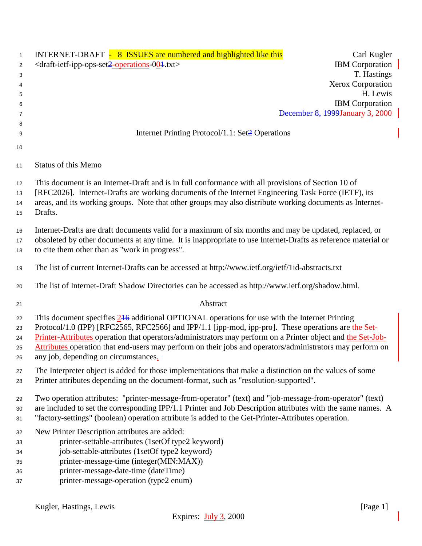| $\mathbf{1}$   | INTERNET-DRAFT - 8 ISSUES are numbered and highlighted like this<br>Carl Kugler                                     |
|----------------|---------------------------------------------------------------------------------------------------------------------|
| $\overline{2}$ | <b>IBM</b> Corporation<br><draft-ietf-ipp-ops-set2-operations-004.txt></draft-ietf-ipp-ops-set2-operations-004.txt> |
| 3              | T. Hastings                                                                                                         |
| 4              | Xerox Corporation                                                                                                   |
| 5              | H. Lewis                                                                                                            |
| 6              | <b>IBM</b> Corporation                                                                                              |
| 7              | December 8, 1999 January 3, 2000                                                                                    |
| 8              |                                                                                                                     |
| 9              | Internet Printing Protocol/1.1: Set2 Operations                                                                     |
|                |                                                                                                                     |
| 10             |                                                                                                                     |
| 11             | <b>Status of this Memo</b>                                                                                          |
| 12             | This document is an Internet-Draft and is in full conformance with all provisions of Section 10 of                  |
| 13             | [RFC2026]. Internet-Drafts are working documents of the Internet Engineering Task Force (IETF), its                 |
| 14             | areas, and its working groups. Note that other groups may also distribute working documents as Internet-            |
| 15             | Drafts.                                                                                                             |
|                |                                                                                                                     |
| 16             | Internet-Drafts are draft documents valid for a maximum of six months and may be updated, replaced, or              |
| 17             | obsoleted by other documents at any time. It is inappropriate to use Internet-Drafts as reference material or       |
| 18             | to cite them other than as "work in progress".                                                                      |
|                |                                                                                                                     |
| 19             | The list of current Internet-Drafts can be accessed at http://www.ietf.org/ietf/1id-abstracts.txt                   |
| 20             | The list of Internet-Draft Shadow Directories can be accessed as http://www.ietf.org/shadow.html.                   |
| 21             | Abstract                                                                                                            |
| 22             | This document specifies $2\frac{1}{6}$ additional OPTIONAL operations for use with the Internet Printing            |
| 23             | Protocol/1.0 (IPP) [RFC2565, RFC2566] and IPP/1.1 [ipp-mod, ipp-pro]. These operations are the Set-                 |
| 24             | Printer-Attributes operation that operators/administrators may perform on a Printer object and the Set-Job-         |
| 25             | Attributes operation that end-users may perform on their jobs and operators/administrators may perform on           |
| 26             | any job, depending on circumstances.                                                                                |
| 27             | The Interpreter object is added for those implementations that make a distinction on the values of some             |
| 28             | Printer attributes depending on the document-format, such as "resolution-supported".                                |
|                |                                                                                                                     |
| 29             | Two operation attributes: "printer-message-from-operator" (text) and "job-message-from-operator" (text)             |
| 30             | are included to set the corresponding IPP/1.1 Printer and Job Description attributes with the same names. A         |
| 31             | "factory-settings" (boolean) operation attribute is added to the Get-Printer-Attributes operation.                  |
| 32             | New Printer Description attributes are added:                                                                       |
| 33             | printer-settable-attributes (1setOf type2 keyword)                                                                  |
|                | job-settable-attributes (1setOf type2 keyword)                                                                      |
| 34             | printer-message-time (integer(MIN:MAX))                                                                             |
| 35             |                                                                                                                     |
| 36             | printer-message-date-time (dateTime)                                                                                |
| 37             | printer-message-operation (type2 enum)                                                                              |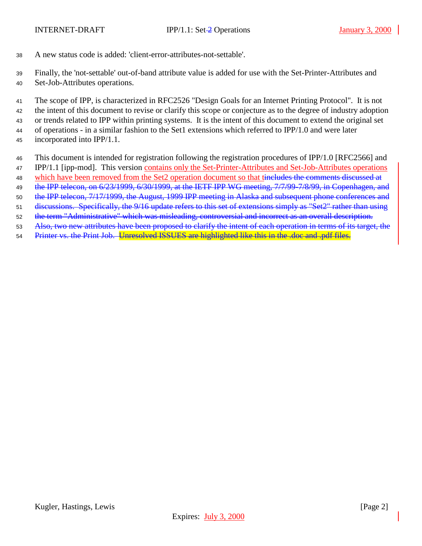- A new status code is added: 'client-error-attributes-not-settable'.
- Finally, the 'not-settable' out-of-band attribute value is added for use with the Set-Printer-Attributes and
- Set-Job-Attributes operations.

 The scope of IPP, is characterized in RFC2526 "Design Goals for an Internet Printing Protocol". It is not the intent of this document to revise or clarify this scope or conjecture as to the degree of industry adoption or trends related to IPP within printing systems. It is the intent of this document to extend the original set

of operations - in a similar fashion to the Set1 extensions which referred to IPP/1.0 and were later

- incorporated into IPP/1.1.
- This document is intended for registration following the registration procedures of IPP/1.0 [RFC2566] and
- IPP/1.1 [ipp-mod]. This version contains only the Set-Printer-Attributes and Set-Job-Attributes operations
- 48 which have been removed from the Set2 operation document so that tineludes the comments discussed at
- 49 the IPP telecon, on 6/23/1999, 6/30/1999, at the IETF IPP WG meeting, 7/7/99-7/8/99, in Copenhagen, and
- the IPP telecon, 7/17/1999, the August, 1999 IPP meeting in Alaska and subsequent phone conferences and
- discussions. Specifically, the 9/16 update refers to this set of extensions simply as "Set2" rather than using
- the term "Administrative" which was misleading, controversial and incorrect as an overall description.
- Also, two new attributes have been proposed to clarify the intent of each operation in terms of its target, the
- 54 Printer vs. the Print Job. Unresolved ISSUES are highlighted like this in the .doc and .pdf files.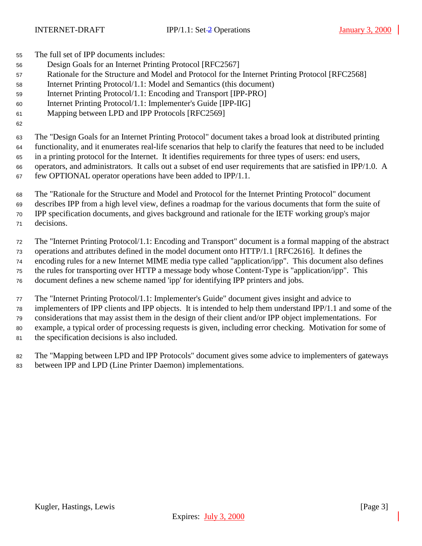The full set of IPP documents includes:

- Design Goals for an Internet Printing Protocol [RFC2567]
- Rationale for the Structure and Model and Protocol for the Internet Printing Protocol [RFC2568]
- Internet Printing Protocol/1.1: Model and Semantics (this document)
- Internet Printing Protocol/1.1: Encoding and Transport [IPP-PRO]
- Internet Printing Protocol/1.1: Implementer's Guide [IPP-IIG]
- Mapping between LPD and IPP Protocols [RFC2569]

 The "Design Goals for an Internet Printing Protocol" document takes a broad look at distributed printing functionality, and it enumerates real-life scenarios that help to clarify the features that need to be included in a printing protocol for the Internet. It identifies requirements for three types of users: end users, operators, and administrators. It calls out a subset of end user requirements that are satisfied in IPP/1.0. A few OPTIONAL operator operations have been added to IPP/1.1.

 The "Rationale for the Structure and Model and Protocol for the Internet Printing Protocol" document describes IPP from a high level view, defines a roadmap for the various documents that form the suite of IPP specification documents, and gives background and rationale for the IETF working group's major decisions.

 The "Internet Printing Protocol/1.1: Encoding and Transport" document is a formal mapping of the abstract operations and attributes defined in the model document onto HTTP/1.1 [RFC2616]. It defines the encoding rules for a new Internet MIME media type called "application/ipp". This document also defines the rules for transporting over HTTP a message body whose Content-Type is "application/ipp". This document defines a new scheme named 'ipp' for identifying IPP printers and jobs.

 The "Internet Printing Protocol/1.1: Implementer's Guide" document gives insight and advice to implementers of IPP clients and IPP objects. It is intended to help them understand IPP/1.1 and some of the considerations that may assist them in the design of their client and/or IPP object implementations. For example, a typical order of processing requests is given, including error checking. Motivation for some of the specification decisions is also included.

 The "Mapping between LPD and IPP Protocols" document gives some advice to implementers of gateways between IPP and LPD (Line Printer Daemon) implementations.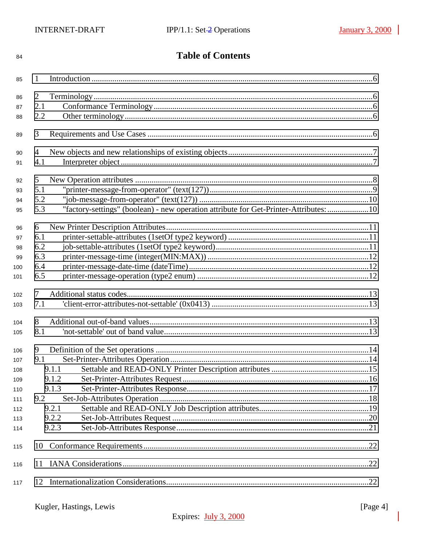| 84  |     | <b>Table of Contents</b>                                                              |  |
|-----|-----|---------------------------------------------------------------------------------------|--|
| 85  | 1   |                                                                                       |  |
| 86  | 2   |                                                                                       |  |
| 87  | 2.1 |                                                                                       |  |
| 88  | 2.2 |                                                                                       |  |
| 89  | 3   |                                                                                       |  |
| 90  | 4   |                                                                                       |  |
| 91  | 4.1 |                                                                                       |  |
| 92  | 5   |                                                                                       |  |
| 93  | 5.1 |                                                                                       |  |
| 94  | 5.2 |                                                                                       |  |
| 95  | 5.3 | "factory-settings" (boolean) - new operation attribute for Get-Printer-Attributes: 10 |  |
| 96  | 6   |                                                                                       |  |
| 97  | 6.1 |                                                                                       |  |
| 98  | 6.2 |                                                                                       |  |
| 99  | 6.3 |                                                                                       |  |
| 100 | 6.4 |                                                                                       |  |
| 101 | 6.5 |                                                                                       |  |
| 102 | 7   |                                                                                       |  |
| 103 | 7.1 |                                                                                       |  |
| 104 | 8   |                                                                                       |  |
| 105 | 8.1 |                                                                                       |  |
| 106 | 9   |                                                                                       |  |
| 107 | 9.1 |                                                                                       |  |
| 108 |     | 9.1.1                                                                                 |  |
| 109 |     | 9.1.2                                                                                 |  |
| 110 |     | 9.1.3                                                                                 |  |
| 111 | 9.2 |                                                                                       |  |
| 112 |     | 9.2.1                                                                                 |  |
| 113 |     | 9.2.2                                                                                 |  |
| 114 |     | 9.2.3                                                                                 |  |
| 115 | 10  |                                                                                       |  |
| 116 |     |                                                                                       |  |
| 117 |     |                                                                                       |  |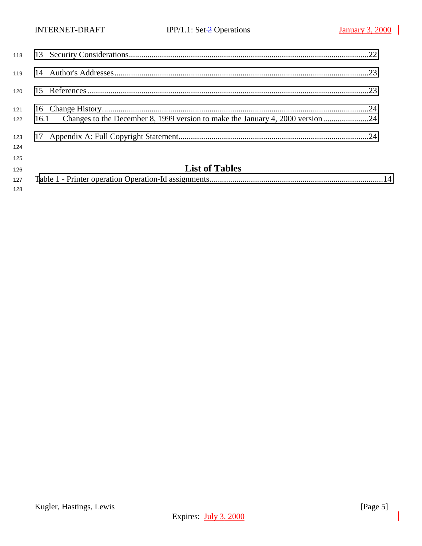| 120        |                                                                                       |  |
|------------|---------------------------------------------------------------------------------------|--|
| 121<br>122 | Changes to the December 8, 1999 version to make the January 4, 2000 version24<br>16.1 |  |
| 123        |                                                                                       |  |
| 124<br>125 |                                                                                       |  |
| 126        | <b>List of Tables</b>                                                                 |  |
| 127        |                                                                                       |  |

Kugler, Hastings, Lewis [Page 5] Expires: July 3, 2000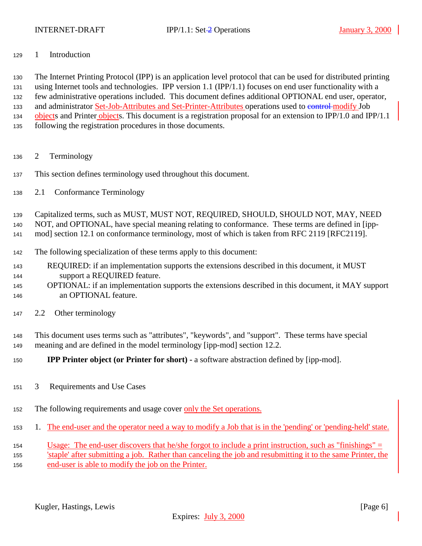<span id="page-5-0"></span>

1 Introduction

 The Internet Printing Protocol (IPP) is an application level protocol that can be used for distributed printing using Internet tools and technologies. IPP version 1.1 (IPP/1.1) focuses on end user functionality with a few administrative operations included. This document defines additional OPTIONAL end user, operator, 133 and administrator Set-Job-Attributes and Set-Printer-Attributes operations used to control modify Job 134 objects and Printer objects. This document is a registration proposal for an extension to IPP/1.0 and IPP/1.1 following the registration procedures in those documents.

- 2 Terminology
- This section defines terminology used throughout this document.
- 2.1 Conformance Terminology

Capitalized terms, such as MUST, MUST NOT, REQUIRED, SHOULD, SHOULD NOT, MAY, NEED

NOT, and OPTIONAL, have special meaning relating to conformance. These terms are defined in [ipp-

mod] section 12.1 on conformance terminology, most of which is taken from RFC 2119 [RFC2119].

- The following specialization of these terms apply to this document:
- REQUIRED: if an implementation supports the extensions described in this document, it MUST support a REQUIRED feature.
- OPTIONAL: if an implementation supports the extensions described in this document, it MAY support an OPTIONAL feature.
- 2.2 Other terminology

 This document uses terms such as "attributes", "keywords", and "support". These terms have special meaning and are defined in the model terminology [ipp-mod] section 12.2.

- **IPP Printer object (or Printer for short)** a software abstraction defined by [ipp-mod].
- 3 Requirements and Use Cases
- The following requirements and usage cover only the Set operations.
- 1. The end-user and the operator need a way to modify a Job that is in the 'pending' or 'pending-held' state.
- Usage: The end-user discovers that he/she forgot to include a print instruction, such as "finishings" = 'staple' after submitting a job. Rather than canceling the job and resubmitting it to the same Printer, the end-user is able to modify the job on the Printer.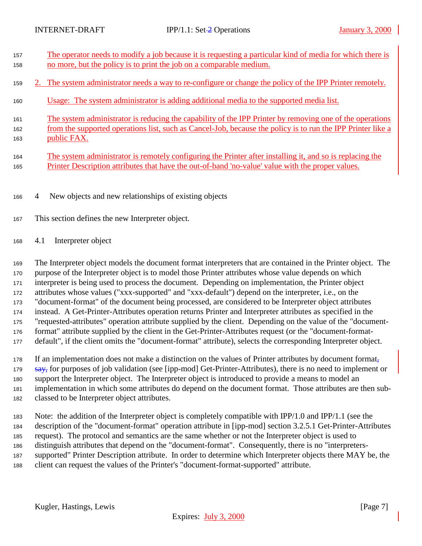<span id="page-6-0"></span>

| 157        | The operator needs to modify a job because it is requesting a particular kind of media for which there is                                                                                                      |
|------------|----------------------------------------------------------------------------------------------------------------------------------------------------------------------------------------------------------------|
| 158        | no more, but the policy is to print the job on a comparable medium.                                                                                                                                            |
| 159        | 2. The system administrator needs a way to re-configure or change the policy of the IPP Printer remotely.                                                                                                      |
| 160        | Usage: The system administrator is adding additional media to the supported media list.                                                                                                                        |
| 161        | The system administrator is reducing the capability of the IPP Printer by removing one of the operations                                                                                                       |
| 162        | from the supported operations list, such as Cancel-Job, because the policy is to run the IPP Printer like a                                                                                                    |
| 163        | public FAX.                                                                                                                                                                                                    |
| 164<br>165 | The system administrator is remotely configuring the Printer after installing it, and so is replacing the<br>Printer Description attributes that have the out-of-band 'no-value' value with the proper values. |

4 New objects and new relationships of existing objects

- This section defines the new Interpreter object.
- 4.1 Interpreter object

 The Interpreter object models the document format interpreters that are contained in the Printer object. The purpose of the Interpreter object is to model those Printer attributes whose value depends on which interpreter is being used to process the document. Depending on implementation, the Printer object attributes whose values ("xxx-supported" and "xxx-default") depend on the interpreter, i.e., on the "document-format" of the document being processed, are considered to be Interpreter object attributes instead. A Get-Printer-Attributes operation returns Printer and Interpreter attributes as specified in the "requested-attributes" operation attribute supplied by the client. Depending on the value of the "document- format" attribute supplied by the client in the Get-Printer-Attributes request (or the "document-format-default", if the client omits the "document-format" attribute), selects the corresponding Interpreter object.

 If an implementation does not make a distinction on the values of Printer attributes by document format, 179 say, for purposes of job validation (see [ipp-mod] Get-Printer-Attributes), there is no need to implement or support the Interpreter object. The Interpreter object is introduced to provide a means to model an implementation in which some attributes do depend on the document format. Those attributes are then sub-classed to be Interpreter object attributes.

 Note: the addition of the Interpreter object is completely compatible with IPP/1.0 and IPP/1.1 (see the description of the "document-format" operation attribute in [ipp-mod] section 3.2.5.1 Get-Printer-Attributes request). The protocol and semantics are the same whether or not the Interpreter object is used to distinguish attributes that depend on the "document-format". Consequently, there is no "interpreters- supported" Printer Description attribute. In order to determine which Interpreter objects there MAY be, the client can request the values of the Printer's "document-format-supported" attribute.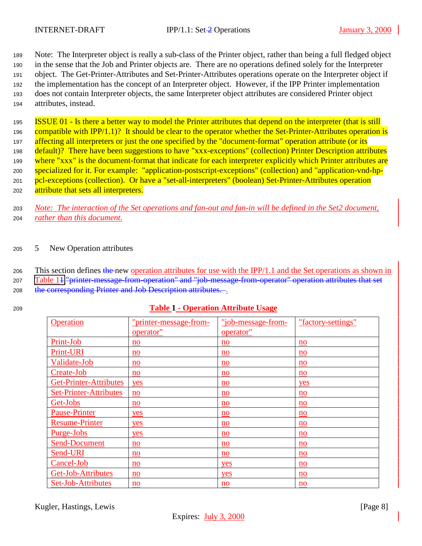<span id="page-7-0"></span>

 Note: The Interpreter object is really a sub-class of the Printer object, rather than being a full fledged object in the sense that the Job and Printer objects are. There are no operations defined solely for the Interpreter object. The Get-Printer-Attributes and Set-Printer-Attributes operations operate on the Interpreter object if the implementation has the concept of an Interpreter object. However, if the IPP Printer implementation does not contain Interpreter objects, the same Interpreter object attributes are considered Printer object attributes, instead.

<sup>195</sup> ISSUE 01 - Is there a better way to model the Printer attributes that depend on the interpreter (that is still 196 compatible with IPP/1.1)? It should be clear to the operator whether the Set-Printer-Attributes operation is 197 affecting all interpreters or just the one specified by the "document-format" operation attribute (or its <sup>198</sup> default)? There have been suggestions to have "xxx-exceptions" (collection) Printer Description attributes 199 where "xxx" is the document-format that indicate for each interpreter explicitly which Printer attributes are <sup>200</sup> specialized for it. For example: "application-postscript-exceptions" (collection) and "application-vnd-hp-201 pcl-exceptions (collection). Or have a "set-all-interpreters" (boolean) Set-Printer-Attributes operation 202 attribute that sets all interpreters.

<sup>203</sup> *Note: The interaction of the Set operations and fan-out and fan-in will be defined in the Set2 document,* <sup>204</sup> *rather than this document.*

#### <sup>205</sup> 5 New Operation attributes

206 This section defines the new operation attributes for use with the IPP/1.1 and the Set operations as shown in <sup>207</sup> Table 11."printer-message-from-operation" and "job-message-from-operator" operation attributes that set 208 the corresponding Printer and Job Description attributes.

# <sup>209</sup> **Table 1 - Operation Attribute Usage**

| Operation                     | "printer-message-from- | "job-message-from-        | "factory-settings"        |
|-------------------------------|------------------------|---------------------------|---------------------------|
|                               | operator"              | operator"                 |                           |
| Print-Job                     | no                     | no                        | no                        |
| Print-URI                     | no                     | no                        | no                        |
| Validate-Job                  | no                     | no                        | no                        |
| Create-Job                    | no                     | no                        | no                        |
| <b>Get-Printer-Attributes</b> | yes                    | no                        | yes                       |
| <b>Set-Printer-Attributes</b> | no                     | no                        | no                        |
| Get-Jobs                      | no                     | no                        | no                        |
| <b>Pause-Printer</b>          | yes                    | no                        | no                        |
| <b>Resume-Printer</b>         | yes                    | $\mathbf{n}\mathbf{o}$    | no                        |
| Purge-Jobs                    | yes                    | $\underline{\mathbf{no}}$ | $\underline{\mathbf{no}}$ |
| <b>Send-Document</b>          | no                     | no                        | no                        |
| Send-URI                      | no                     | no                        | no                        |
| Cancel-Job                    | no                     | yes                       | no                        |
| Get-Job-Attributes            | no                     | yes                       | no                        |
| Set-Job-Attributes            | no                     | $\underline{\mathbf{no}}$ | $\underline{\mathbf{no}}$ |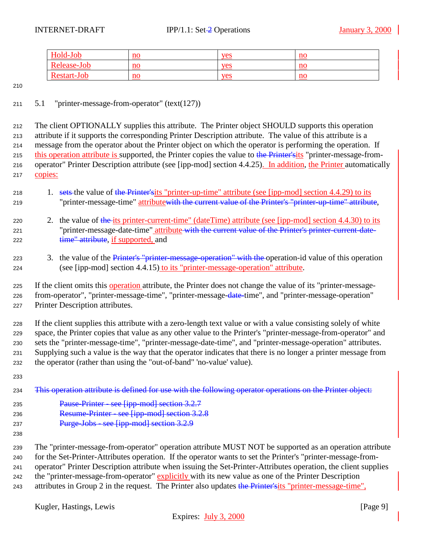<span id="page-8-0"></span>

| Hold-Job    | no                        | yes | no                        |
|-------------|---------------------------|-----|---------------------------|
| Release-Job | $\underline{\mathbf{no}}$ | yes | $\mathbf{n}\mathbf{o}$    |
| Restart-Job | $\underline{\mathbf{no}}$ | yes | $\underline{\mathbf{no}}$ |

### 5.1 "printer-message-from-operator" (text(127))

 The client OPTIONALLY supplies this attribute. The Printer object SHOULD supports this operation attribute if it supports the corresponding Printer Description attribute. The value of this attribute is a message from the operator about the Printer object on which the operator is performing the operation. If 215 this operation attribute is supported, the Printer copies the value to the Printer'sits "printer-message-from- operator" Printer Description attribute (see [ipp-mod] section 4.4.25). In addition, the Printer automatically copies:

- 218 1. sets the value of the Printer'sits "printer-up-time" attribute (see [ipp-mod] section 4.4.29) to its 219 "printer-message-time" attributewith the current value of the Printer's "printer-up-time" attribute,
- 220 2. the value of the its printer-current-time" (dateTime) attribute (see [ipp-mod] section 4.4.30) to its 221 "printer-message-date-time" attribute with the current value of the Printer's printer-current-date-222 time" attribute, if supported, and
- 223 3. the value of the *Printer's "printer-message-operation" with the operation-id value of this operation* (see [ipp-mod] section 4.4.15) to its "printer-message-operation" attribute.

 If the client supplies this attribute with a zero-length text value or with a value consisting solely of white space, the Printer copies that value as any other value to the Printer's "printer-message-from-operator" and sets the "printer-message-time", "printer-message-date-time", and "printer-message-operation" attributes. Supplying such a value is the way that the operator indicates that there is no longer a printer message from the operator (rather than using the "out-of-band" 'no-value' value).

234 This operation attribute is defined for use with the following operator operations on the Printer object:

- Pause-Printer see [ipp-mod] section 3.2.7
- Resume-Printer see [ipp-mod] section 3.2.8
- Purge-Jobs see [ipp-mod] section 3.2.9
- 

 The "printer-message-from-operator" operation attribute MUST NOT be supported as an operation attribute for the Set-Printer-Attributes operation. If the operator wants to set the Printer's "printer-message-from- operator" Printer Description attribute when issuing the Set-Printer-Attributes operation, the client supplies the "printer-message-from-operator" explicitly with its new value as one of the Printer Description 243 attributes in Group 2 in the request. The Printer also updates the Printer'sits "printer-message-time",

 If the client omits this operation attribute, the Printer does not change the value of its "printer-message- from-operator", "printer-message-time", "printer-message-date-time", and "printer-message-operation" Printer Description attributes.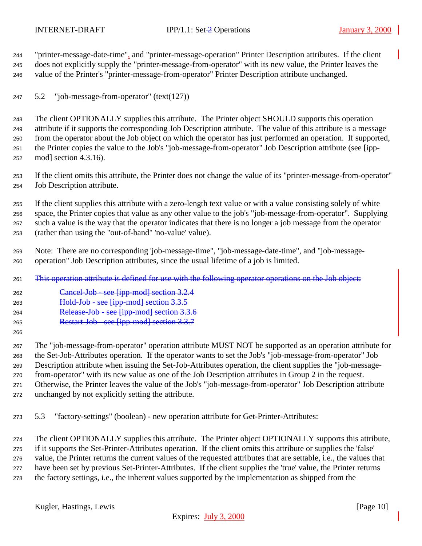<span id="page-9-0"></span> "printer-message-date-time", and "printer-message-operation" Printer Description attributes. If the client does not explicitly supply the "printer-message-from-operator" with its new value, the Printer leaves the value of the Printer's "printer-message-from-operator" Printer Description attribute unchanged.

5.2 "job-message-from-operator" (text(127))

 The client OPTIONALLY supplies this attribute. The Printer object SHOULD supports this operation attribute if it supports the corresponding Job Description attribute. The value of this attribute is a message from the operator about the Job object on which the operator has just performed an operation. If supported, the Printer copies the value to the Job's "job-message-from-operator" Job Description attribute (see [ipp-mod] section 4.3.16).

 If the client omits this attribute, the Printer does not change the value of its "printer-message-from-operator" Job Description attribute.

 If the client supplies this attribute with a zero-length text value or with a value consisting solely of white space, the Printer copies that value as any other value to the job's "job-message-from-operator". Supplying such a value is the way that the operator indicates that there is no longer a job message from the operator (rather than using the "out-of-band" 'no-value' value).

 Note: There are no corresponding 'job-message-time", "job-message-date-time", and "job-message-operation" Job Description attributes, since the usual lifetime of a job is limited.

- 261 This operation attribute is defined for use with the following operator operations on the Job object:
- Cancel-Job see [ipp-mod] section 3.2.4
- Hold-Job see [ipp-mod] section 3.3.5
- Release-Job see [ipp-mod] section 3.3.6
- Restart-Job see [ipp-mod] section 3.3.7
- 

 The "job-message-from-operator" operation attribute MUST NOT be supported as an operation attribute for the Set-Job-Attributes operation. If the operator wants to set the Job's "job-message-from-operator" Job Description attribute when issuing the Set-Job-Attributes operation, the client supplies the "job-message- from-operator" with its new value as one of the Job Description attributes in Group 2 in the request. Otherwise, the Printer leaves the value of the Job's "job-message-from-operator" Job Description attribute unchanged by not explicitly setting the attribute.

5.3 "factory-settings" (boolean) - new operation attribute for Get-Printer-Attributes:

 The client OPTIONALLY supplies this attribute. The Printer object OPTIONALLY supports this attribute, if it supports the Set-Printer-Attributes operation. If the client omits this attribute or supplies the 'false' value, the Printer returns the current values of the requested attributes that are settable, i.e., the values that have been set by previous Set-Printer-Attributes. If the client supplies the 'true' value, the Printer returns the factory settings, i.e., the inherent values supported by the implementation as shipped from the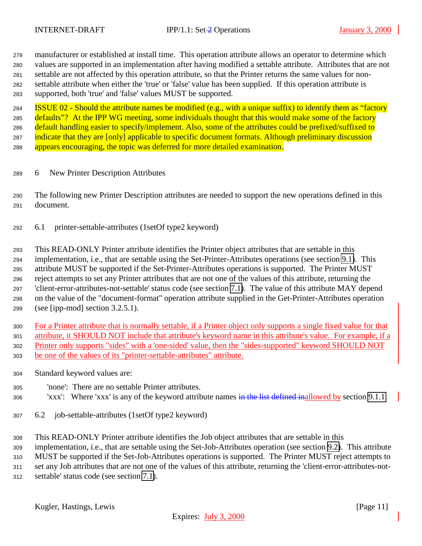<span id="page-10-0"></span> manufacturer or established at install time. This operation attribute allows an operator to determine which values are supported in an implementation after having modified a settable attribute. Attributes that are not settable are not affected by this operation attribute, so that the Printer returns the same values for non- settable attribute when either the 'true' or 'false' value has been supplied. If this operation attribute is supported, both 'true' and 'false' values MUST be supported.

**ISSUE 02 - Should the attribute names be modified (e.g., with a unique suffix) to identify them as "factory** 285 defaults"? At the IPP WG meeting, some individuals thought that this would make some of the factory 286 default handling easier to specify/implement. Also, some of the attributes could be prefixed/suffixed to 287 indicate that they are [only] applicable to specific document formats. Although preliminary discussion 288 appears encouraging, the topic was deferred for more detailed examination.

6 New Printer Description Attributes

 The following new Printer Description attributes are needed to support the new operations defined in this document.

6.1 printer-settable-attributes (1setOf type2 keyword)

 This READ-ONLY Printer attribute identifies the Printer object attributes that are settable in this implementation, i.e., that are settable using the Set-Printer-Attributes operations (see section [9.1\)](#page-13-0). This attribute MUST be supported if the Set-Printer-Attributes operations is supported. The Printer MUST reject attempts to set any Printer attributes that are not one of the values of this attribute, returning the 'client-error-attributes-not-settable' status code (see section [7.1\)](#page-12-0). The value of this attribute MAY depend on the value of the "document-format" operation attribute supplied in the Get-Printer-Attributes operation (see [ipp-mod] section 3.2.5.1).

 For a Printer attribute that is normally settable, if a Printer object only supports a single fixed value for that attribute, it SHOULD NOT include that attribute's keyword name in this attribute's value. For example, if a Printer only supports "sides" with a 'one-sided' value, then the "sides-supported" keyword SHOULD NOT be one of the values of its "printer-settable-attributes" attribute.

- Standard keyword values are:
- 'none': There are no settable Printer attributes.
- 306 'xxx': Where 'xxx' is any of the keyword attribute names in the list defined inallowed by section [9.1.1](#page-14-0)
- 6.2 job-settable-attributes (1setOf type2 keyword)
- This READ-ONLY Printer attribute identifies the Job object attributes that are settable in this

implementation, i.e., that are settable using the Set-Job-Attributes operation (see section [9.2\)](#page-17-0). This attribute

MUST be supported if the Set-Job-Attributes operations is supported. The Printer MUST reject attempts to

set any Job attributes that are not one of the values of this attribute, returning the 'client-error-attributes-not-

settable' status code (see section [7.1\)](#page-12-0).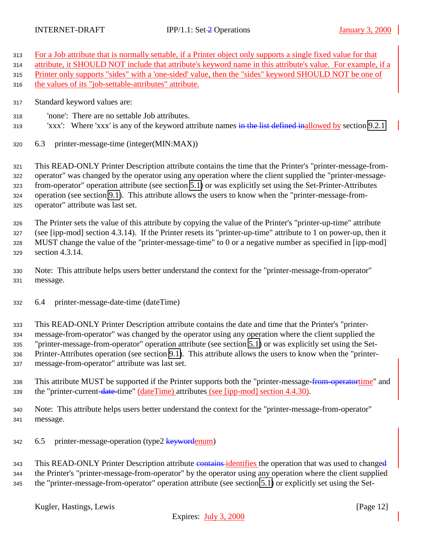- <span id="page-11-0"></span>For a Job attribute that is normally settable, if a Printer object only supports a single fixed value for that
- attribute, it SHOULD NOT include that attribute's keyword name in this attribute's value. For example, if a
- Printer only supports "sides" with a 'one-sided' value, then the "sides" keyword SHOULD NOT be one of
- 316 the values of its "job-settable-attributes" attribute.
- Standard keyword values are:
- 'none': There are no settable Job attributes.
- 319 'xxx': Where 'xxx' is any of the keyword attribute names in the list defined inallowed by section [9.2.1](#page-18-0)
- 6.3 printer-message-time (integer(MIN:MAX))

 This READ-ONLY Printer Description attribute contains the time that the Printer's "printer-message-from- operator" was changed by the operator using any operation where the client supplied the "printer-message- from-operator" operation attribute (see section [5.1\)](#page-8-0) or was explicitly set using the Set-Printer-Attributes operation (see section [9.1\)](#page-13-0). This attribute allows the users to know when the "printer-message-from-operator" attribute was last set.

 The Printer sets the value of this attribute by copying the value of the Printer's "printer-up-time" attribute (see [ipp-mod] section 4.3.14). If the Printer resets its "printer-up-time" attribute to 1 on power-up, then it MUST change the value of the "printer-message-time" to 0 or a negative number as specified in [ipp-mod] section 4.3.14.

 Note: This attribute helps users better understand the context for the "printer-message-from-operator" message.

6.4 printer-message-date-time (dateTime)

 This READ-ONLY Printer Description attribute contains the date and time that the Printer's "printer- message-from-operator" was changed by the operator using any operation where the client supplied the "printer-message-from-operator" operation attribute (see section [5.1\)](#page-8-0) or was explicitly set using the Set- Printer-Attributes operation (see section [9.1\)](#page-13-0). This attribute allows the users to know when the "printer-message-from-operator" attribute was last set.

- 338 This attribute MUST be supported if the Printer supports both the "printer-message-from-operatortime" and the "printer-current-date-time" (dateTime) attributes (see [ipp-mod] section 4.4.30).
- Note: This attribute helps users better understand the context for the "printer-message-from-operator" message.
- 342 6.5 printer-message-operation (type2 keywordenum)

343 This READ-ONLY Printer Description attribute contains identifies the operation that was used to changed the Printer's "printer-message-from-operator" by the operator using any operation where the client supplied the "printer-message-from-operator" operation attribute (see section [5.1\)](#page-8-0) or explicitly set using the Set-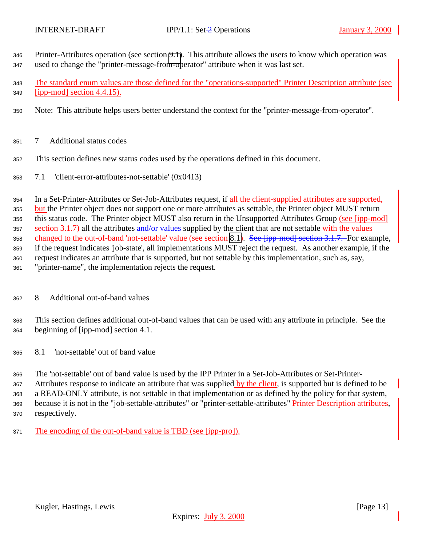- <span id="page-12-0"></span> Printer-Attributes operation (see section [9.1\)](#page-13-0). This attribute allows the users to know which operation was used to change the "printer-message-from-operator" attribute when it was last set.
- The standard enum values are those defined for the "operations-supported" Printer Description attribute (see [ipp-mod] section 4.4.15).
- Note: This attribute helps users better understand the context for the "printer-message-from-operator".
- 7 Additional status codes
- This section defines new status codes used by the operations defined in this document.
- 7.1 'client-error-attributes-not-settable' (0x0413)

 In a Set-Printer-Attributes or Set-Job-Attributes request, if all the client-supplied attributes are supported, 355 but the Printer object does not support one or more attributes as settable, the Printer object MUST return 356 this status code. The Printer object MUST also return in the Unsupported Attributes Group (see [ipp-mod] section 3.1.7) all the attributes and/or values supplied by the client that are not settable with the values 358 changed to the out-of-band 'not-settable' value (see section 8.1). See [ipp-mod] section 3.1.7. For example, if the request indicates 'job-state', all implementations MUST reject the request. As another example, if the request indicates an attribute that is supported, but not settable by this implementation, such as, say, "printer-name", the implementation rejects the request.

8 Additional out-of-band values

 This section defines additional out-of-band values that can be used with any attribute in principle. See the beginning of [ipp-mod] section 4.1.

8.1 'not-settable' out of band value

 The 'not-settable' out of band value is used by the IPP Printer in a Set-Job-Attributes or Set-Printer- Attributes response to indicate an attribute that was supplied by the client, is supported but is defined to be a READ-ONLY attribute, is not settable in that implementation or as defined by the policy for that system, because it is not in the "job-settable-attributes" or "printer-settable-attributes" Printer Description attributes, respectively.

The encoding of the out-of-band value is TBD (see [ipp-pro]).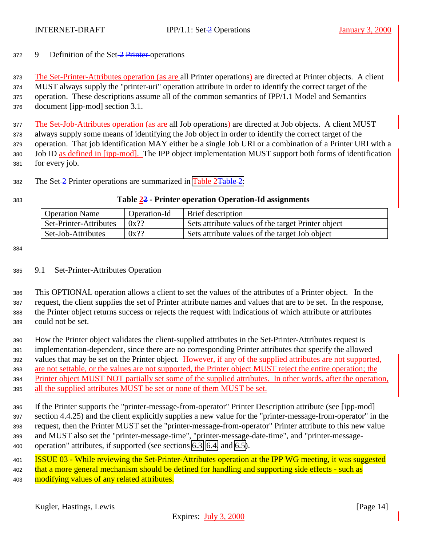### <span id="page-13-0"></span>9 Definition of the Set-2 Printer operations

 The Set-Printer-Attributes operation (as are all Printer operations) are directed at Printer objects. A client MUST always supply the "printer-uri" operation attribute in order to identify the correct target of the operation. These descriptions assume all of the common semantics of IPP/1.1 Model and Semantics document [ipp-mod] section 3.1.

 The Set-Job-Attributes operation (as are all Job operations) are directed at Job objects. A client MUST always supply some means of identifying the Job object in order to identify the correct target of the operation. That job identification MAY either be a single Job URI or a combination of a Printer URI with a Job ID as defined in [ipp-mod]. The IPP object implementation MUST support both forms of identification for every job.

382 The Set- $\frac{2}{2}$  Printer operations are summarized in Table 2<del>Table 2</del>:

### **Table 22 - Printer operation Operation-Id assignments**

| <b>Operation Name</b>  | Operation-Id | Brief description                                  |
|------------------------|--------------|----------------------------------------------------|
| Set-Printer-Attributes | $0x$ ??      | Sets attribute values of the target Printer object |
| Set-Job-Attributes     | $0x$ ??      | Sets attribute values of the target Job object     |

#### 9.1 Set-Printer-Attributes Operation

 This OPTIONAL operation allows a client to set the values of the attributes of a Printer object. In the request, the client supplies the set of Printer attribute names and values that are to be set. In the response, the Printer object returns success or rejects the request with indications of which attribute or attributes could not be set.

 How the Printer object validates the client-supplied attributes in the Set-Printer-Attributes request is implementation-dependent, since there are no corresponding Printer attributes that specify the allowed values that may be set on the Printer object. However, if any of the supplied attributes are not supported, are not settable, or the values are not supported, the Printer object MUST reject the entire operation; the Printer object MUST NOT partially set some of the supplied attributes. In other words, after the operation, all the supplied attributes MUST be set or none of them MUST be set.

 If the Printer supports the "printer-message-from-operator" Printer Description attribute (see [ipp-mod] section 4.4.25) and the client explicitly supplies a new value for the "printer-message-from-operator" in the request, then the Printer MUST set the "printer-message-from-operator" Printer attribute to this new value and MUST also set the "printer-message-time", "printer-message-date-time", and "printer-message-operation" attributes, if supported (see sections [6.3, 6.4,](#page-11-0) and [6.5\)](#page-11-0).

**ISSUE 03 - While reviewing the Set-Printer-Attributes operation at the IPP WG meeting, it was suggested** 402 that a more general mechanism should be defined for handling and supporting side effects - such as 403 modifying values of any related attributes.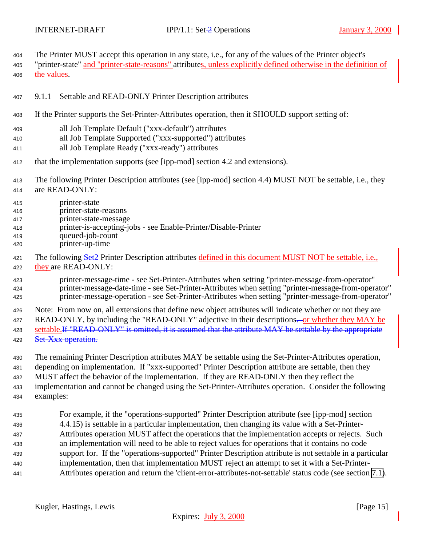<span id="page-14-0"></span>The Printer MUST accept this operation in any state, i.e., for any of the values of the Printer object's

405 "printer-state" and "printer-state-reasons" attributes, unless explicitly defined otherwise in the definition of the values.

- 9.1.1 Settable and READ-ONLY Printer Description attributes
- If the Printer supports the Set-Printer-Attributes operation, then it SHOULD support setting of:
- all Job Template Default ("xxx-default") attributes
- all Job Template Supported ("xxx-supported") attributes
- all Job Template Ready ("xxx-ready") attributes
- that the implementation supports (see [ipp-mod] section 4.2 and extensions).
- The following Printer Description attributes (see [ipp-mod] section 4.4) MUST NOT be settable, i.e., they are READ-ONLY:
- printer-state
- printer-state-reasons
- printer-state-message
- printer-is-accepting-jobs see Enable-Printer/Disable-Printer
- queued-job-count
- printer-up-time
- 421 The following Set2-Printer Description attributes defined in this document MUST NOT be settable, i.e., they are READ-ONLY:
- printer-message-time see Set-Printer-Attributes when setting "printer-message-from-operator" printer-message-date-time - see Set-Printer-Attributes when setting "printer-message-from-operator" printer-message-operation - see Set-Printer-Attributes when setting "printer-message-from-operator"
- Note: From now on, all extensions that define new object attributes will indicate whether or not they are 427 READ-ONLY, by including the "READ-ONLY" adjective in their descriptions—or whether they MAY be 428 settable.<del>If "READ-ONLY" is omitted, it is assumed that the attribute MAY be settable by the appropriate</del> 429 Set-Xxx operation.
- The remaining Printer Description attributes MAY be settable using the Set-Printer-Attributes operation, depending on implementation. If "xxx-supported" Printer Description attribute are settable, then they MUST affect the behavior of the implementation. If they are READ-ONLY then they reflect the implementation and cannot be changed using the Set-Printer-Attributes operation. Consider the following examples:
- For example, if the "operations-supported" Printer Description attribute (see [ipp-mod] section 4.4.15) is settable in a particular implementation, then changing its value with a Set-Printer- Attributes operation MUST affect the operations that the implementation accepts or rejects. Such an implementation will need to be able to reject values for operations that it contains no code support for. If the "operations-supported" Printer Description attribute is not settable in a particular implementation, then that implementation MUST reject an attempt to set it with a Set-Printer-Attributes operation and return the 'client-error-attributes-not-settable' status code (see section [7.1\)](#page-12-0).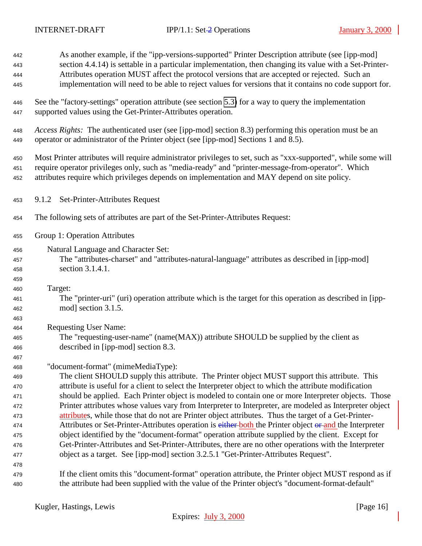<span id="page-15-0"></span>

| 442        | As another example, if the "ipp-versions-supported" Printer Description attribute (see [ipp-mod]                                                                                                               |
|------------|----------------------------------------------------------------------------------------------------------------------------------------------------------------------------------------------------------------|
| 443        | section 4.4.14) is settable in a particular implementation, then changing its value with a Set-Printer-                                                                                                        |
| 444        | Attributes operation MUST affect the protocol versions that are accepted or rejected. Such an                                                                                                                  |
| 445        | implementation will need to be able to reject values for versions that it contains no code support for.                                                                                                        |
| 446        | See the "factory-settings" operation attribute (see section 5.3) for a way to query the implementation                                                                                                         |
| 447        | supported values using the Get-Printer-Attributes operation.                                                                                                                                                   |
| 448        | Access Rights: The authenticated user (see [ipp-mod] section 8.3) performing this operation must be an                                                                                                         |
| 449        | operator or administrator of the Printer object (see [ipp-mod] Sections 1 and 8.5).                                                                                                                            |
| 450        | Most Printer attributes will require administrator privileges to set, such as "xxx-supported", while some will                                                                                                 |
| 451        | require operator privileges only, such as "media-ready" and "printer-message-from-operator". Which                                                                                                             |
| 452        | attributes require which privileges depends on implementation and MAY depend on site policy.                                                                                                                   |
| 453        | 9.1.2 Set-Printer-Attributes Request                                                                                                                                                                           |
| 454        | The following sets of attributes are part of the Set-Printer-Attributes Request:                                                                                                                               |
| 455        | Group 1: Operation Attributes                                                                                                                                                                                  |
| 456        | Natural Language and Character Set:                                                                                                                                                                            |
| 457        | The "attributes-charset" and "attributes-natural-language" attributes as described in [ipp-mod]                                                                                                                |
| 458        | section 3.1.4.1.                                                                                                                                                                                               |
| 459        |                                                                                                                                                                                                                |
| 460        | Target:                                                                                                                                                                                                        |
| 461        | The "printer-uri" (uri) operation attribute which is the target for this operation as described in [ipp-                                                                                                       |
| 462        | mod] section 3.1.5.                                                                                                                                                                                            |
| 463        |                                                                                                                                                                                                                |
| 464        | <b>Requesting User Name:</b>                                                                                                                                                                                   |
| 465        | The "requesting-user-name" (name(MAX)) attribute SHOULD be supplied by the client as                                                                                                                           |
| 466        | described in [ipp-mod] section 8.3.                                                                                                                                                                            |
| 467        |                                                                                                                                                                                                                |
| 468        | "document-format" (mimeMediaType):                                                                                                                                                                             |
| 469        | The client SHOULD supply this attribute. The Printer object MUST support this attribute. This                                                                                                                  |
| 470        | attribute is useful for a client to select the Interpreter object to which the attribute modification                                                                                                          |
| 471        | should be applied. Each Printer object is modeled to contain one or more Interpreter objects. Those<br>Printer attributes whose values vary from Interpreter to Interpreter, are modeled as Interpreter object |
| 472        | attributes, while those that do not are Printer object attributes. Thus the target of a Get-Printer-                                                                                                           |
| 473<br>474 | Attributes or Set-Printer-Attributes operation is either-both the Printer object or and the Interpreter                                                                                                        |
| 475        | object identified by the "document-format" operation attribute supplied by the client. Except for                                                                                                              |
| 476        | Get-Printer-Attributes and Set-Printer-Attributes, there are no other operations with the Interpreter                                                                                                          |
| 477        | object as a target. See [ipp-mod] section 3.2.5.1 "Get-Printer-Attributes Request".                                                                                                                            |
| 478        |                                                                                                                                                                                                                |
| 479        | If the client omits this "document-format" operation attribute, the Printer object MUST respond as if                                                                                                          |
| 480        | the attribute had been supplied with the value of the Printer object's "document-format-default"                                                                                                               |
|            |                                                                                                                                                                                                                |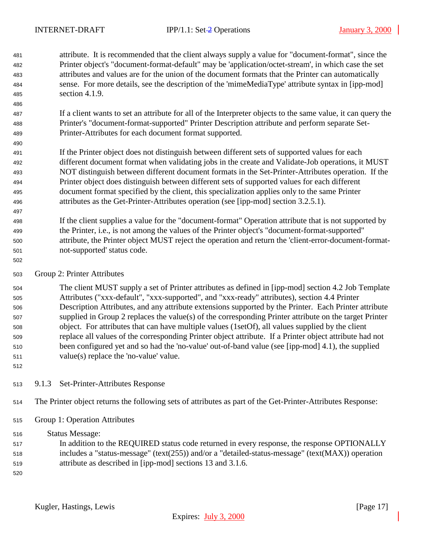- <span id="page-16-0"></span> attribute. It is recommended that the client always supply a value for "document-format", since the Printer object's "document-format-default" may be 'application/octet-stream', in which case the set attributes and values are for the union of the document formats that the Printer can automatically sense. For more details, see the description of the 'mimeMediaType' attribute syntax in [ipp-mod] section 4.1.9.
- If a client wants to set an attribute for all of the Interpreter objects to the same value, it can query the Printer's "document-format-supported" Printer Description attribute and perform separate Set-Printer-Attributes for each document format supported.
- If the Printer object does not distinguish between different sets of supported values for each different document format when validating jobs in the create and Validate-Job operations, it MUST NOT distinguish between different document formats in the Set-Printer-Attributes operation. If the Printer object does distinguish between different sets of supported values for each different document format specified by the client, this specialization applies only to the same Printer attributes as the Get-Printer-Attributes operation (see [ipp-mod] section 3.2.5.1).
- If the client supplies a value for the "document-format" Operation attribute that is not supported by the Printer, i.e., is not among the values of the Printer object's "document-format-supported" attribute, the Printer object MUST reject the operation and return the 'client-error-document-format-not-supported' status code.
- Group 2: Printer Attributes

 The client MUST supply a set of Printer attributes as defined in [ipp-mod] section 4.2 Job Template Attributes ("xxx-default", "xxx-supported", and "xxx-ready" attributes), section 4.4 Printer Description Attributes, and any attribute extensions supported by the Printer. Each Printer attribute supplied in Group 2 replaces the value(s) of the corresponding Printer attribute on the target Printer object. For attributes that can have multiple values (1setOf), all values supplied by the client replace all values of the corresponding Printer object attribute. If a Printer object attribute had not been configured yet and so had the 'no-value' out-of-band value (see [ipp-mod] 4.1), the supplied value(s) replace the 'no-value' value.

9.1.3 Set-Printer-Attributes Response

- The Printer object returns the following sets of attributes as part of the Get-Printer-Attributes Response:
- Group 1: Operation Attributes

Status Message:

- In addition to the REQUIRED status code returned in every response, the response OPTIONALLY includes a "status-message" (text(255)) and/or a "detailed-status-message" (text(MAX)) operation
- attribute as described in [ipp-mod] sections 13 and 3.1.6.
-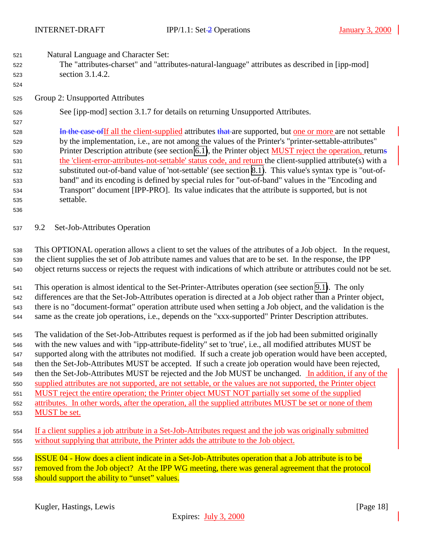<span id="page-17-0"></span>Natural Language and Character Set:

- The "attributes-charset" and "attributes-natural-language" attributes as described in [ipp-mod] section 3.1.4.2.
- Group 2: Unsupported Attributes

See [ipp-mod] section 3.1.7 for details on returning Unsupported Attributes.

- **In the case of If all the client-supplied attributes that are supported, but one or more are not settable**  by the implementation, i.e., are not among the values of the Printer's "printer-settable-attributes" 530 Printer Description attribute (see section [6.1\)](#page-10-0), the Printer object MUST reject the operation, returns the 'client-error-attributes-not-settable' status code, and return the client-supplied attribute(s) with a substituted out-of-band value of 'not-settable' (see section [8.1\)](#page-12-0). This value's syntax type is "out-of- band" and its encoding is defined by special rules for "out-of-band" values in the "Encoding and Transport" document [IPP-PRO]. Its value indicates that the attribute is supported, but is not settable.
- 

9.2 Set-Job-Attributes Operation

 This OPTIONAL operation allows a client to set the values of the attributes of a Job object. In the request, the client supplies the set of Job attribute names and values that are to be set. In the response, the IPP object returns success or rejects the request with indications of which attribute or attributes could not be set.

 This operation is almost identical to the Set-Printer-Attributes operation (see section [9.1\)](#page-13-0). The only differences are that the Set-Job-Attributes operation is directed at a Job object rather than a Printer object, there is no "document-format" operation attribute used when setting a Job object, and the validation is the same as the create job operations, i.e., depends on the "xxx-supported" Printer Description attributes.

 The validation of the Set-Job-Attributes request is performed as if the job had been submitted originally with the new values and with "ipp-attribute-fidelity" set to 'true', i.e., all modified attributes MUST be supported along with the attributes not modified. If such a create job operation would have been accepted, then the Set-Job-Attributes MUST be accepted. If such a create job operation would have been rejected, then the Set-Job-Attributes MUST be rejected and the Job MUST be unchanged. In addition, if any of the supplied attributes are not supported, are not settable, or the values are not supported, the Printer object MUST reject the entire operation; the Printer object MUST NOT partially set some of the supplied attributes. In other words, after the operation, all the supplied attributes MUST be set or none of them MUST be set.

- If a client supplies a job attribute in a Set-Job-Attributes request and the job was originally submitted without supplying that attribute, the Printer adds the attribute to the Job object.
- ISSUE 04 How does a client indicate in a Set-Job-Attributes operation that a Job attribute is to be 557 removed from the Job object? At the IPP WG meeting, there was general agreement that the protocol 558 should support the ability to "unset" values.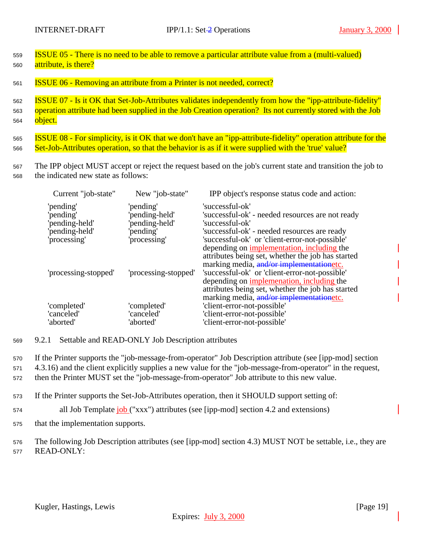<span id="page-18-0"></span><sup>559</sup> ISSUE 05 - There is no need to be able to remove a particular attribute value from a (multi-valued) <sup>560</sup> attribute, is there?

<sup>561</sup> ISSUE 06 - Removing an attribute from a Printer is not needed, correct?

<sup>562</sup> ISSUE 07 - Is it OK that Set-Job-Attributes validates independently from how the "ipp-attribute-fidelity" <sup>563</sup> operation attribute had been supplied in the Job Creation operation? Its not currently stored with the Job 564 object.

565 **ISSUE 08 - For simplicity, is it OK that we don't have an "ipp-attribute-fidelity" operation attribute for the** <sup>566</sup> Set-Job-Attributes operation, so that the behavior is as if it were supplied with the 'true' value?

<sup>567</sup> The IPP object MUST accept or reject the request based on the job's current state and transition the job to <sup>568</sup> the indicated new state as follows:

| Current "job-state"                                                       | New "job-state"                                                            | IPP object's response status code and action:                                                                                                                                                                                                                                                                                                                             |
|---------------------------------------------------------------------------|----------------------------------------------------------------------------|---------------------------------------------------------------------------------------------------------------------------------------------------------------------------------------------------------------------------------------------------------------------------------------------------------------------------------------------------------------------------|
| 'pending'<br>'pending'<br>'pending-held'<br>'pending-held'<br>processing' | 'pending'<br>'pending-held'<br>'pending-held'<br>'pending'<br>'processing' | 'successful-ok'<br>'successful-ok' - needed resources are not ready<br>'successful-ok'<br>'successful-ok' - needed resources are ready<br>'successful-ok' or 'client-error-not-possible'                                                                                                                                                                                  |
| 'processing-stopped'                                                      | 'processing-stopped'                                                       | depending on <i>implementation</i> , <i>including the</i><br>attributes being set, whether the job has started<br>marking media, and/or implementationetc.<br>'successful-ok' or 'client-error-not-possible'<br>depending on <i>implemenation</i> , <i>including the</i><br>attributes being set, whether the job has started<br>marking media, and/or implementationetc. |
| 'completed'                                                               | 'completed'                                                                | 'client-error-not-possible'                                                                                                                                                                                                                                                                                                                                               |
| 'canceled'                                                                | 'canceled'                                                                 | 'client-error-not-possible'                                                                                                                                                                                                                                                                                                                                               |
| 'aborted'                                                                 | 'aborted'                                                                  | 'client-error-not-possible'                                                                                                                                                                                                                                                                                                                                               |

<sup>569</sup> 9.2.1 Settable and READ-ONLY Job Description attributes

<sup>570</sup> If the Printer supports the "job-message-from-operator" Job Description attribute (see [ipp-mod] section

- <sup>571</sup> 4.3.16) and the client explicitly supplies a new value for the "job-message-from-operator" in the request,
- <sup>572</sup> then the Printer MUST set the "job-message-from-operator" Job attribute to this new value.
- <sup>573</sup> If the Printer supports the Set-Job-Attributes operation, then it SHOULD support setting of:
- 574 all Job Template job ("xxx") attributes (see [ipp-mod] section 4.2 and extensions)
- <sup>575</sup> that the implementation supports.
- <sup>576</sup> The following Job Description attributes (see [ipp-mod] section 4.3) MUST NOT be settable, i.e., they are <sup>577</sup> READ-ONLY: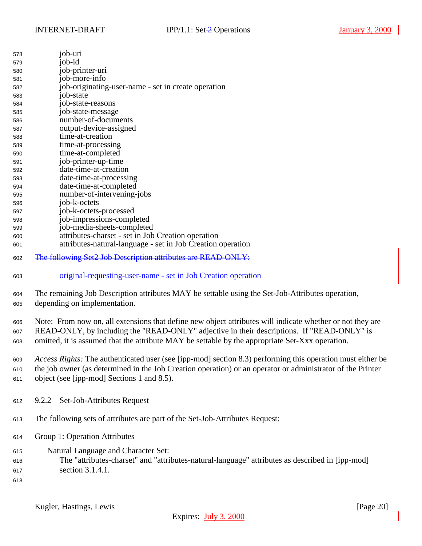<span id="page-19-0"></span>

| 578 | job-uri                                                     |
|-----|-------------------------------------------------------------|
| 579 | job-id                                                      |
| 580 | job-printer-uri                                             |
| 581 | job-more-info                                               |
| 582 | job-originating-user-name - set in create operation         |
| 583 | job-state                                                   |
| 584 | job-state-reasons                                           |
| 585 | job-state-message                                           |
| 586 | number-of-documents                                         |
| 587 | output-device-assigned                                      |
| 588 | time-at-creation                                            |
| 589 | time-at-processing                                          |
| 590 | time-at-completed                                           |
| 591 | job-printer-up-time                                         |
| 592 | date-time-at-creation                                       |
| 593 | date-time-at-processing                                     |
| 594 | date-time-at-completed                                      |
| 595 | number-of-intervening-jobs                                  |
| 596 | job-k-octets                                                |
| 597 | job-k-octets-processed                                      |
| 598 | job-impressions-completed                                   |
| 599 | job-media-sheets-completed                                  |
| 600 | attributes-charset - set in Job Creation operation          |
| 601 | attributes-natural-language - set in Job Creation operation |
|     |                                                             |

- The following Set2 Job Description attributes are READ-ONLY:
- original-requesting-user-name set in Job Creation operation

 The remaining Job Description attributes MAY be settable using the Set-Job-Attributes operation, depending on implementation.

 Note: From now on, all extensions that define new object attributes will indicate whether or not they are READ-ONLY, by including the "READ-ONLY" adjective in their descriptions. If "READ-ONLY" is omitted, it is assumed that the attribute MAY be settable by the appropriate Set-Xxx operation.

 *Access Rights:* The authenticated user (see [ipp-mod] section 8.3) performing this operation must either be the job owner (as determined in the Job Creation operation) or an operator or administrator of the Printer object (see [ipp-mod] Sections 1 and 8.5).

- 9.2.2 Set-Job-Attributes Request
- The following sets of attributes are part of the Set-Job-Attributes Request:
- Group 1: Operation Attributes
- Natural Language and Character Set:
- The "attributes-charset" and "attributes-natural-language" attributes as described in [ipp-mod]
- section 3.1.4.1.
-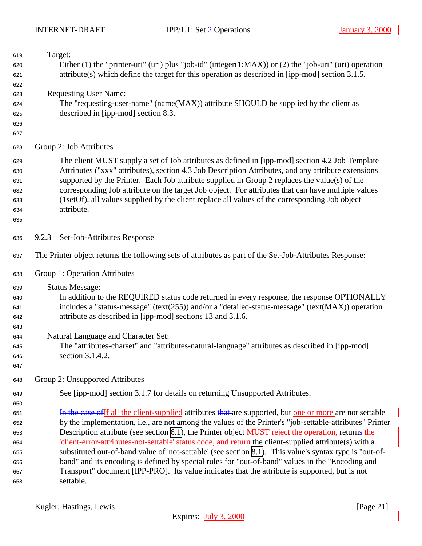<span id="page-20-0"></span>

| 619 | Target:                                                                                                   |
|-----|-----------------------------------------------------------------------------------------------------------|
| 620 | Either (1) the "printer-uri" (uri) plus "job-id" (integer(1:MAX)) or (2) the "job-uri" (uri) operation    |
| 621 | $attribute(s)$ which define the target for this operation as described in [ipp-mod] section 3.1.5.        |
| 622 |                                                                                                           |
| 623 | <b>Requesting User Name:</b>                                                                              |
| 624 | The "requesting-user-name" (name(MAX)) attribute SHOULD be supplied by the client as                      |
| 625 | described in [ipp-mod] section 8.3.                                                                       |
| 626 |                                                                                                           |
| 627 |                                                                                                           |
| 628 | Group 2: Job Attributes                                                                                   |
| 629 | The client MUST supply a set of Job attributes as defined in [ipp-mod] section 4.2 Job Template           |
| 630 | Attributes ("xxx" attributes), section 4.3 Job Description Attributes, and any attribute extensions       |
| 631 | supported by the Printer. Each Job attribute supplied in Group 2 replaces the value(s) of the             |
| 632 | corresponding Job attribute on the target Job object. For attributes that can have multiple values        |
| 633 | (1setOf), all values supplied by the client replace all values of the corresponding Job object            |
| 634 | attribute.                                                                                                |
| 635 |                                                                                                           |
| 636 | Set-Job-Attributes Response<br>9.2.3                                                                      |
| 637 | The Printer object returns the following sets of attributes as part of the Set-Job-Attributes Response:   |
| 638 | Group 1: Operation Attributes                                                                             |
| 639 | <b>Status Message:</b>                                                                                    |
| 640 | In addition to the REQUIRED status code returned in every response, the response OPTIONALLY               |
| 641 | includes a "status-message" (text(255)) and/or a "detailed-status-message" (text(MAX)) operation          |
| 642 | attribute as described in [ipp-mod] sections 13 and 3.1.6.                                                |
| 643 |                                                                                                           |
| 644 | Natural Language and Character Set:                                                                       |
| 645 | The "attributes-charset" and "attributes-natural-language" attributes as described in [ipp-mod]           |
| 646 | section 3.1.4.2.                                                                                          |
| 647 |                                                                                                           |
| 648 | Group 2: Unsupported Attributes                                                                           |
| 649 | See [ipp-mod] section 3.1.7 for details on returning Unsupported Attributes.                              |
| 650 |                                                                                                           |
| 651 | In the case of If all the client-supplied attributes that are supported, but one or more are not settable |
| 652 | by the implementation, i.e., are not among the values of the Printer's "job-settable-attributes" Printer  |
| 653 | Description attribute (see section 6.1), the Printer object MUST reject the operation, returns the        |
| 654 | client-error-attributes-not-settable' status code, and return the client-supplied attribute(s) with a     |
| 655 | substituted out-of-band value of 'not-settable' (see section 8.1). This value's syntax type is "out-of-   |
| 656 | band" and its encoding is defined by special rules for "out-of-band" values in the "Encoding and          |
| 657 | Transport" document [IPP-PRO]. Its value indicates that the attribute is supported, but is not            |
| 658 | settable.                                                                                                 |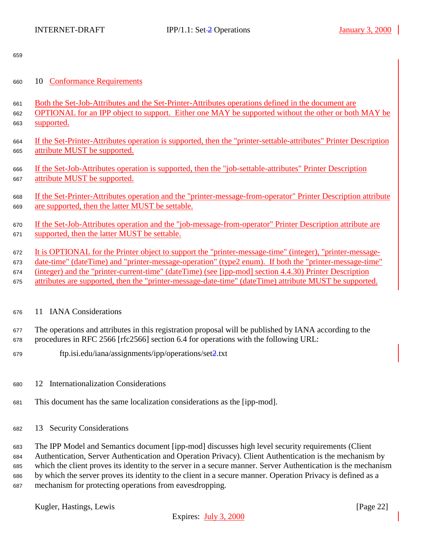<span id="page-21-0"></span>

# 10 Conformance Requirements

 Both the Set-Job-Attributes and the Set-Printer-Attributes operations defined in the document are OPTIONAL for an IPP object to support. Either one MAY be supported without the other or both MAY be supported.

- If the Set-Printer-Attributes operation is supported, then the "printer-settable-attributes" Printer Description attribute MUST be supported.
- If the Set-Job-Attributes operation is supported, then the "job-settable-attributes" Printer Description attribute MUST be supported.
- If the Set-Printer-Attributes operation and the "printer-message-from-operator" Printer Description attribute are supported, then the latter MUST be settable.

 If the Set-Job-Attributes operation and the "job-message-from-operator" Printer Description attribute are supported, then the latter MUST be settable.

 It is OPTIONAL for the Printer object to support the "printer-message-time" (integer), "printer-message- date-time" (dateTime) and "printer-message-operation" (type2 enum). If both the "printer-message-time" (integer) and the "printer-current-time" (dateTime) (see [ipp-mod] section 4.4.30) Printer Description attributes are supported, then the "printer-message-date-time" (dateTime) attribute MUST be supported.

# 11 IANA Considerations

 The operations and attributes in this registration proposal will be published by IANA according to the procedures in RFC 2566 [rfc2566] section 6.4 for operations with the following URL:

- ftp.isi.edu/iana/assignments/ipp/operations/set2.txt
- 12 Internationalization Considerations
- This document has the same localization considerations as the [ipp-mod].
- 13 Security Considerations

 The IPP Model and Semantics document [ipp-mod] discusses high level security requirements (Client Authentication, Server Authentication and Operation Privacy). Client Authentication is the mechanism by which the client proves its identity to the server in a secure manner. Server Authentication is the mechanism by which the server proves its identity to the client in a secure manner. Operation Privacy is defined as a mechanism for protecting operations from eavesdropping.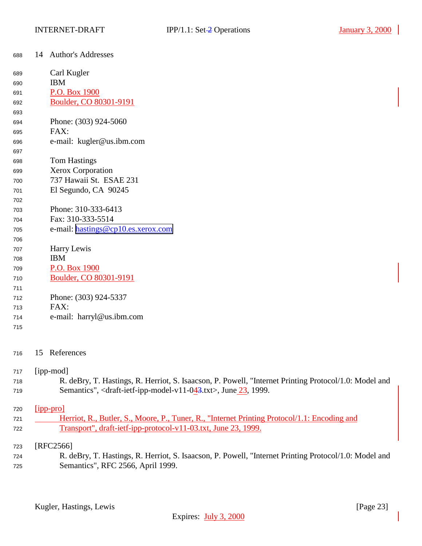<span id="page-22-0"></span>

| 688 | 14 Author's Addresses              |
|-----|------------------------------------|
| 689 | Carl Kugler                        |
| 690 | <b>IBM</b>                         |
| 691 | P.O. Box 1900                      |
| 692 | Boulder, CO 80301-9191             |
| 693 |                                    |
| 694 | Phone: (303) 924-5060              |
| 695 | FAX:                               |
| 696 | e-mail: kugler@us.ibm.com          |
| 697 |                                    |
| 698 | <b>Tom Hastings</b>                |
| 699 | Xerox Corporation                  |
| 700 | 737 Hawaii St. ESAE 231            |
| 701 | El Segundo, CA 90245               |
| 702 |                                    |
| 703 | Phone: 310-333-6413                |
| 704 | Fax: 310-333-5514                  |
| 705 | e-mail: hastings@cp10.es.xerox.com |
| 706 |                                    |
| 707 | Harry Lewis                        |
| 708 | <b>IBM</b>                         |
| 709 | P.O. Box 1900                      |
| 710 | Boulder, CO 80301-9191             |
| 711 |                                    |
| 712 | Phone: (303) 924-5337              |
| 713 | FAX:                               |
| 714 | e-mail: harryl@us.ibm.com          |
| 715 |                                    |
|     |                                    |

# 15 References

### [ipp-mod]

| 718 | R. deBry, T. Hastings, R. Herriot, S. Isaacson, P. Powell, "Internet Printing Protocol/1.0: Model and                                      |
|-----|--------------------------------------------------------------------------------------------------------------------------------------------|
| 719 | Semantics", <draft-ietf-ipp-model-v11-0<math>\frac{43}{1}.txt&gt;, June <math>\frac{23}{1}</math>, 1999.</draft-ietf-ipp-model-v11-0<math> |

# [ipp-pro]

| 721 | Herriot, R., Butler, S., Moore, P., Tuner, R., "Internet Printing Protocol/1.1: Encoding and |
|-----|----------------------------------------------------------------------------------------------|
| 722 | Transport", draft-ietf-ipp-protocol-v11-03.txt, June 23, 1999.                               |

### [RFC2566]

 R. deBry, T. Hastings, R. Herriot, S. Isaacson, P. Powell, "Internet Printing Protocol/1.0: Model and Semantics", RFC 2566, April 1999.